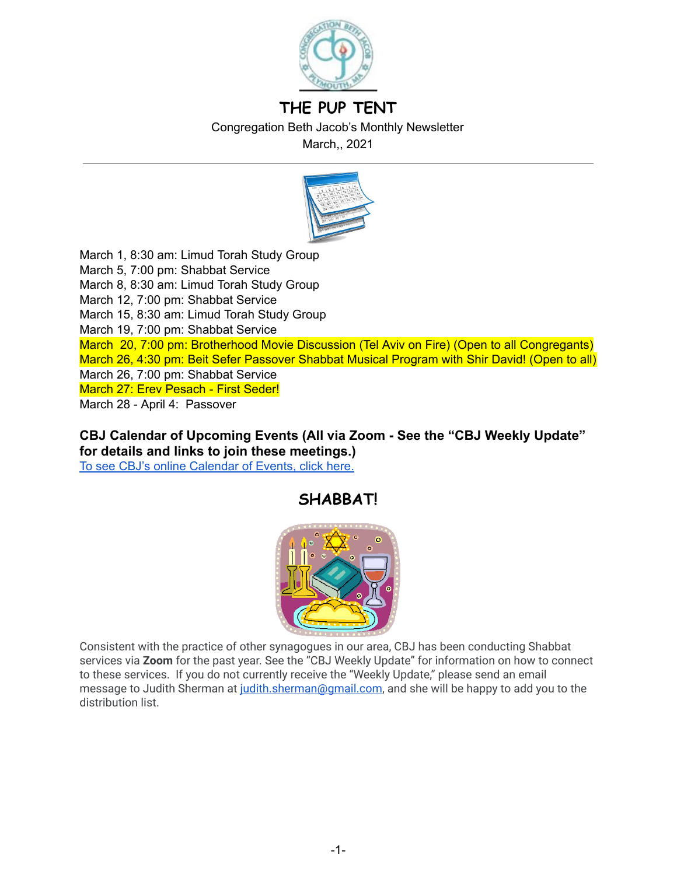

# **THE PUP TENT**

Congregation Beth Jacob's Monthly Newsletter

March,, 2021



March 1, 8:30 am: Limud Torah Study Group March 5, 7:00 pm: Shabbat Service March 8, 8:30 am: Limud Torah Study Group March 12, 7:00 pm: Shabbat Service March 15, 8:30 am: Limud Torah Study Group March 19, 7:00 pm: Shabbat Service March 20, 7:00 pm: Brotherhood Movie Discussion (Tel Aviv on Fire) (Open to all Congregants) March 26, 4:30 pm: Beit Sefer Passover Shabbat Musical Program with Shir David! (Open to all) March 26, 7:00 pm: Shabbat Service March 27: Erev Pesach - First Seder! March 28 - April 4: Passover

**CBJ Calendar of Upcoming Events (All via Zoom - See the "CBJ Weekly Update" for details and links to join these meetings.)**  To see CBJ's online [Calendar](http://cbjplymouth.org/) of Events, click here.

# **SHABBAT!**



Consistent with the practice of other synagogues in our area, CBJ has been conducting Shabbat services via **Zoom** for the past year. See the "CBJ Weekly Update" for information on how to connect to these services. If you do not currently receive the "Weekly Update," please send an email message to Judith Sherman at judith.sherman@gmail.com, and she will be happy to add you to the distribution list.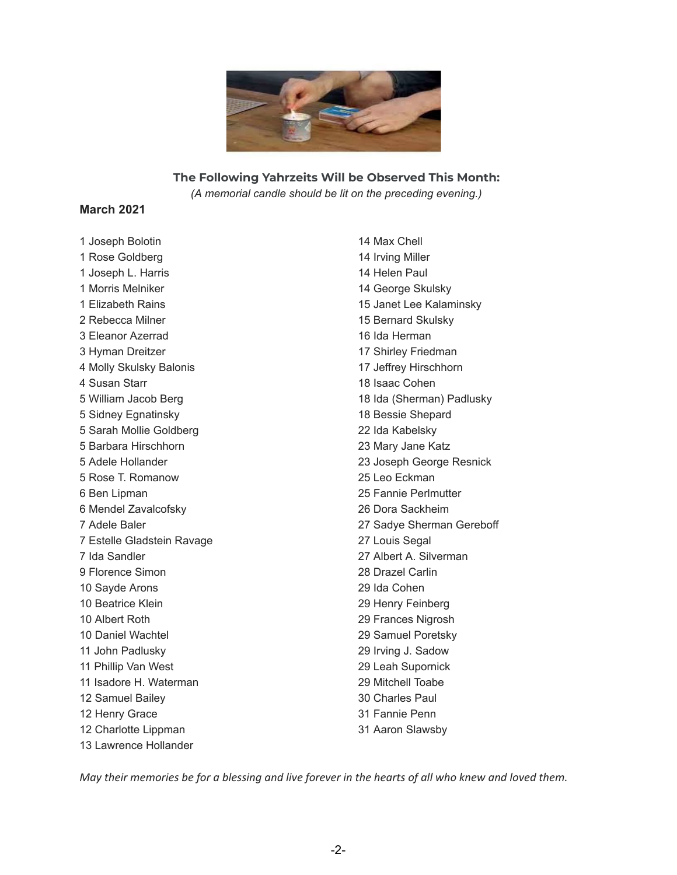

#### **The Following Yahrzeits Will be Observed This Month:**

*(A memorial candle should be lit on the preceding evening.)*

#### **March 2021**

 Joseph Bolotin Rose Goldberg Joseph L. Harris Morris Melniker Elizabeth Rains Rebecca Milner Eleanor Azerrad Hyman Dreitzer Molly Skulsky Balonis Susan Starr William Jacob Berg Sidney Egnatinsky Sarah Mollie Goldberg Barbara Hirschhorn Adele Hollander Rose T. Romanow Ben Lipman Mendel Zavalcofsky Adele Baler Estelle Gladstein Ravage Ida Sandler Florence Simon Sayde Arons Beatrice Klein Albert Roth Daniel Wachtel John Padlusky Phillip Van West Isadore H. Waterman Samuel Bailey Henry Grace Charlotte Lippman Lawrence Hollander

 Max Chell Irving Miller Helen Paul George Skulsky Janet Lee Kalaminsky Bernard Skulsky Ida Herman Shirley Friedman Jeffrey Hirschhorn Isaac Cohen Ida (Sherman) Padlusky Bessie Shepard Ida Kabelsky Mary Jane Katz Joseph George Resnick Leo Eckman Fannie Perlmutter Dora Sackheim Sadye Sherman Gereboff Louis Segal Albert A. Silverman Drazel Carlin Ida Cohen Henry Feinberg Frances Nigrosh Samuel Poretsky Irving J. Sadow Leah Supornick Mitchell Toabe Charles Paul Fannie Penn Aaron Slawsby

May their memories be for a blessing and live forever in the hearts of all who knew and loved them.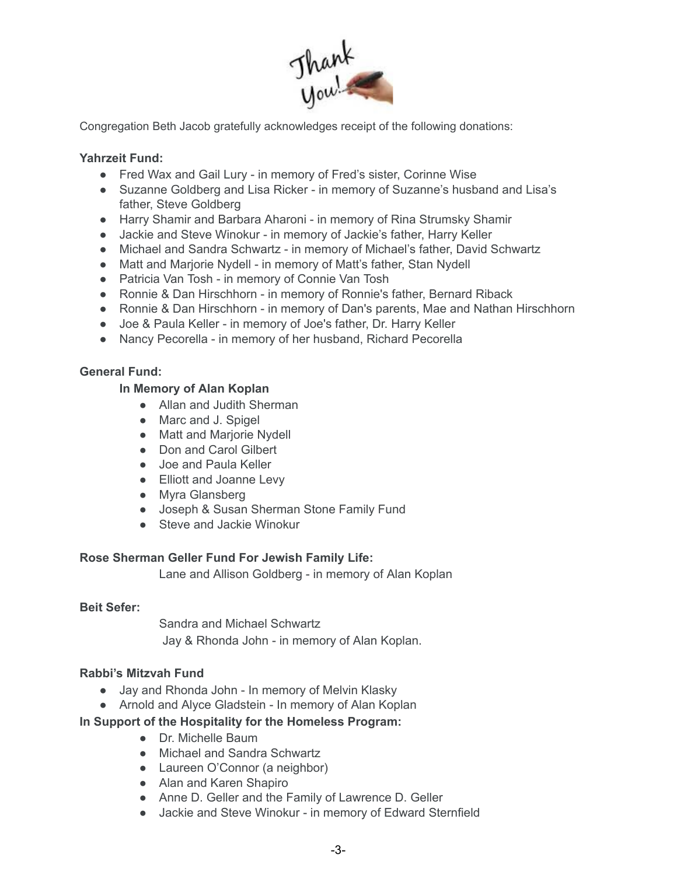

Congregation Beth Jacob gratefully acknowledges receipt of the following donations:

## **Yahrzeit Fund:**

- Fred Wax and Gail Lury in memory of Fred's sister, Corinne Wise
- Suzanne Goldberg and Lisa Ricker in memory of Suzanne's husband and Lisa's father, Steve Goldberg
- Harry Shamir and Barbara Aharoni in memory of Rina Strumsky Shamir
- Jackie and Steve Winokur in memory of Jackie's father, Harry Keller
- Michael and Sandra Schwartz in memory of Michael's father, David Schwartz
- Matt and Marjorie Nydell in memory of Matt's father, Stan Nydell
- Patricia Van Tosh in memory of Connie Van Tosh
- Ronnie & Dan Hirschhorn in memory of Ronnie's father, Bernard Riback
- Ronnie & Dan Hirschhorn in memory of Dan's parents, Mae and Nathan Hirschhorn
- Joe & Paula Keller in memory of Joe's father, Dr. Harry Keller
- Nancy Pecorella in memory of her husband, Richard Pecorella

### **General Fund:**

### **In Memory of Alan Koplan**

- Allan and Judith Sherman
- Marc and J. Spigel
- Matt and Mariorie Nydell
- Don and Carol Gilbert
- Joe and Paula Keller
- Elliott and Joanne Levy
- Myra Glansberg
- Joseph & Susan Sherman Stone Family Fund
- Steve and Jackie Winokur

### **Rose Sherman Geller Fund For Jewish Family Life:**

Lane and Allison Goldberg - in memory of Alan Koplan

### **Beit Sefer:**

Sandra and Michael Schwartz Jay & Rhonda John - in memory of Alan Koplan.

### **Rabbi's Mitzvah Fund**

- Jay and Rhonda John In memory of Melvin Klasky
- Arnold and Alyce Gladstein In memory of Alan Koplan

### **In Support of the Hospitality for the Homeless Program:**

- Dr. Michelle Baum
- Michael and Sandra Schwartz
- Laureen O'Connor (a neighbor)
- Alan and Karen Shapiro
- Anne D. Geller and the Family of Lawrence D. Geller
- Jackie and Steve Winokur in memory of Edward Sternfield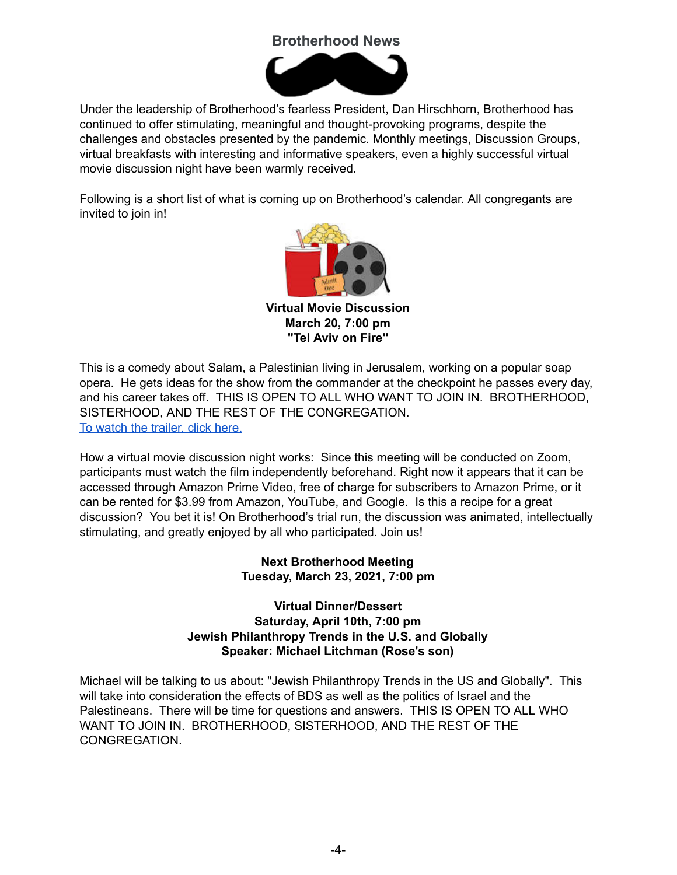# **Brotherhood News**



Under the leadership of Brotherhood's fearless President, Dan Hirschhorn, Brotherhood has continued to offer stimulating, meaningful and thought-provoking programs, despite the challenges and obstacles presented by the pandemic. Monthly meetings, Discussion Groups, virtual breakfasts with interesting and informative speakers, even a highly successful virtual movie discussion night have been warmly received.

Following is a short list of what is coming up on Brotherhood's calendar. All congregants are invited to join in!



**Virtual Movie Discussion March 20, 7:00 pm "Tel Aviv on Fire"**

This is a comedy about Salam, a Palestinian living in Jerusalem, working on a popular soap opera. He gets ideas for the show from the commander at the checkpoint he passes every day, and his career takes off. THIS IS OPEN TO ALL WHO WANT TO JOIN IN. BROTHERHOOD, SISTERHOOD, AND THE REST OF THE CONGREGATION. To watch the [trailer,](https://www.youtube.com/watch?v=UdQQa42URJw) click here.

How a virtual movie discussion night works: Since this meeting will be conducted on Zoom, participants must watch the film independently beforehand. Right now it appears that it can be accessed through Amazon Prime Video, free of charge for subscribers to Amazon Prime, or it can be rented for \$3.99 from Amazon, YouTube, and Google. Is this a recipe for a great discussion? You bet it is! On Brotherhood's trial run, the discussion was animated, intellectually stimulating, and greatly enjoyed by all who participated. Join us!

## **Next Brotherhood Meeting Tuesday, March 23, 2021, 7:00 pm**

## **Virtual Dinner/Dessert Saturday, April 10th, 7:00 pm Jewish Philanthropy Trends in the U.S. and Globally Speaker: Michael Litchman (Rose's son)**

Michael will be talking to us about: "Jewish Philanthropy Trends in the US and Globally". This will take into consideration the effects of BDS as well as the politics of Israel and the Palestineans. There will be time for questions and answers. THIS IS OPEN TO ALL WHO WANT TO JOIN IN. BROTHERHOOD, SISTERHOOD, AND THE REST OF THE CONGREGATION.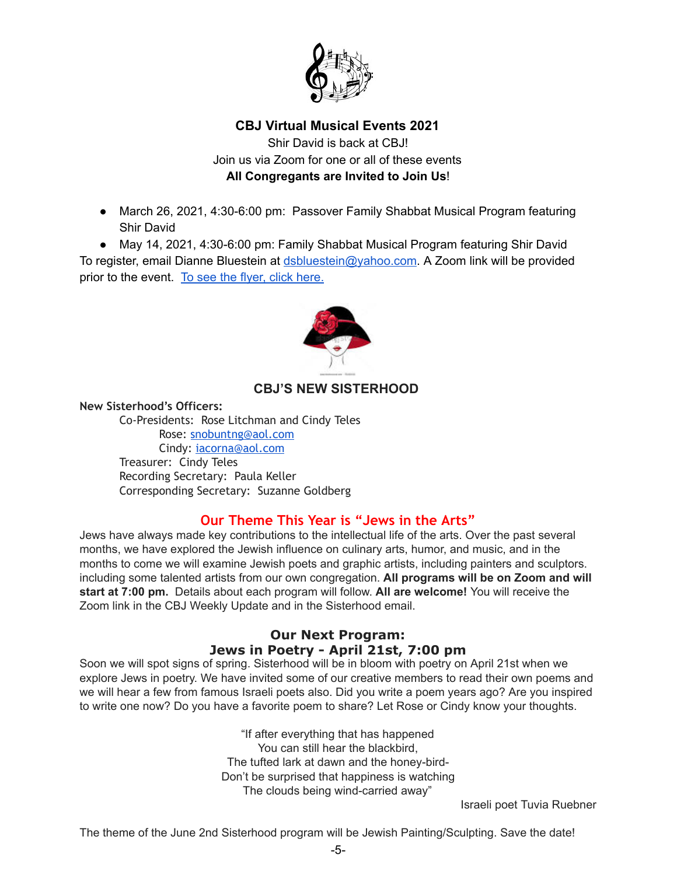

# **CBJ Virtual Musical Events 2021**

Shir David is back at CBJ! Join us via Zoom for one or all of these events **All Congregants are Invited to Join Us**!

- March 26, 2021, 4:30-6:00 pm: Passover Family Shabbat Musical Program featuring Shir David
- May 14, 2021, 4:30-6:00 pm: Family Shabbat Musical Program featuring Shir David

To register, email Dianne Bluestein at [dsbluestein@yahoo.com](mailto:dsbluestein@yahoo.com). A Zoom link will be provided prior to the event. To see the flyer, click [here.](https://drive.google.com/file/d/1Td6o4Oq2omVJSilJ6Q7x4iLe_vK2MrXz/view?usp=sharing)



# **CBJ'S NEW SISTERHOOD**

#### **New Sisterhood's Officers:**

Co-Presidents: Rose Litchman and Cindy Teles Rose: [snobuntng@aol.com](mailto:snobuntng@aol.com) Cindy: [iacorna@aol.com](mailto:iacorna@aol.com) Treasurer: Cindy Teles Recording Secretary: Paula Keller Corresponding Secretary: Suzanne Goldberg

# **Our Theme This Year is "Jews in the Arts"**

Jews have always made key contributions to the intellectual life of the arts. Over the past several months, we have explored the Jewish influence on culinary arts, humor, and music, and in the months to come we will examine Jewish poets and graphic artists, including painters and sculptors. including some talented artists from our own congregation. **All programs will be on Zoom and will start at 7:00 pm.** Details about each program will follow. **All are welcome!** You will receive the Zoom link in the CBJ Weekly Update and in the Sisterhood email.

# **Our Next Program: Jews in Poetry - April 21st, 7:00 pm**

Soon we will spot signs of spring. Sisterhood will be in bloom with poetry on April 21st when we explore Jews in poetry. We have invited some of our creative members to read their own poems and we will hear a few from famous Israeli poets also. Did you write a poem years ago? Are you inspired to write one now? Do you have a favorite poem to share? Let Rose or Cindy know your thoughts.

> "If after everything that has happened You can still hear the blackbird, The tufted lark at dawn and the honey-bird-Don't be surprised that happiness is watching The clouds being wind-carried away"

Israeli poet Tuvia Ruebner

The theme of the June 2nd Sisterhood program will be Jewish Painting/Sculpting. Save the date!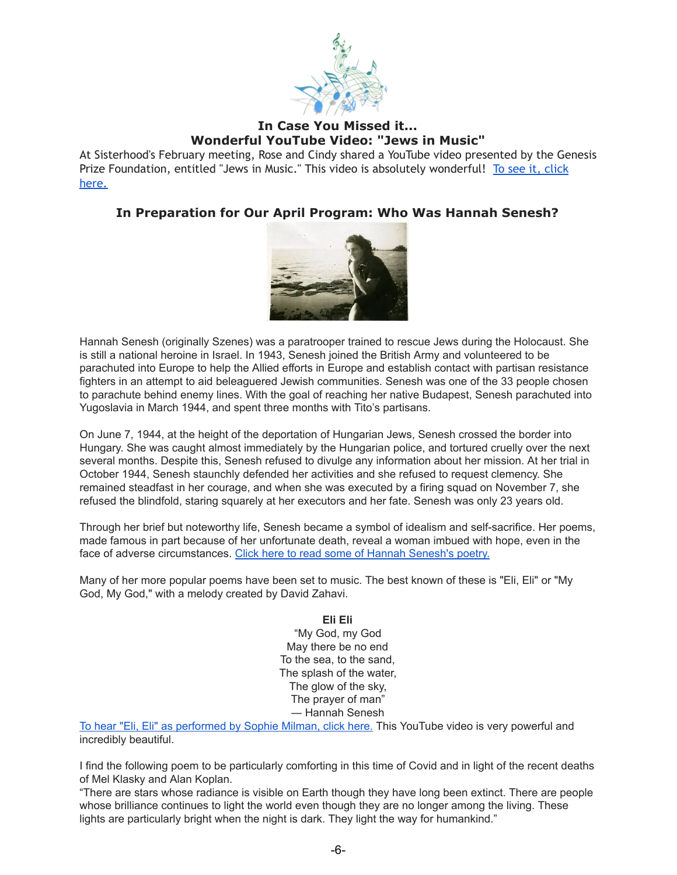

# **In Case You Missed it... Wonderful YouTube Video: "Jews in Music"**

At Sisterhood's February meeting, Rose and Cindy shared a YouTube video presented by the Genesis Prize Foundation, entitled "Jews in Music." This video is absolutely wonderful! To see it, click [here.](https://www.youtube.com/watch?v=xTk21PhgB2E) 

# **In Preparation for Our April Program: Who Was Hannah Senesh?**



Hannah Senesh (originally Szenes) was a paratrooper trained to rescue Jews during the Holocaust. She is still a national heroine in Israel. In 1943, Senesh joined the British Army and volunteered to be parachuted into Europe to help the Allied efforts in Europe and establish contact with partisan resistance fighters in an attempt to aid beleaguered Jewish communities. Senesh was one of the 33 people chosen to parachute behind enemy lines. With the goal of reaching her native Budapest, Senesh parachuted into Yugoslavia in March 1944, and spent three months with Tito's partisans.

On June 7, 1944, at the height of the deportation of Hungarian Jews, Senesh crossed the border into Hungary. She was caught almost immediately by the Hungarian police, and tortured cruelly over the next several months. Despite this, Senesh refused to divulge any information about her mission. At her trial in October 1944, Senesh staunchly defended her activities and she refused to request clemency. She remained steadfast in her courage, and when she was executed by a firing squad on November 7, she refused the blindfold, staring squarely at her executors and her fate. Senesh was only 23 years old.

Through her brief but noteworthy life, Senesh became a symbol of idealism and self-sacrifice. Her poems, made famous in part because of her unfortunate death, reveal a woman imbued with hope, even in the face of adverse circumstances. Click here to read some of Hannah [Senesh's](https://www.goodreads.com/author/quotes/98871.Hannah_Senesh) poetry.

Many of her more popular poems have been set to music. The best known of these is "Eli, Eli" or "My God, My God," with a melody created by David Zahavi.

#### **Eli Eli**

"My God, my God May there be no end To the sea, to the sand, The splash of the water, The glow of the sky, The prayer of man" ― Hannah Senesh

To hear "Eli, Eli" as [performed](https://www.youtube.com/watch?v=lHAhqfoOHFs) by Sophie Milman, click here. This YouTube video is very powerful and incredibly beautiful.

I find the following poem to be particularly comforting in this time of Covid and in light of the recent deaths of Mel Klasky and Alan Koplan.

"There are stars whose radiance is visible on Earth though they have long been extinct. There are people whose brilliance continues to light the world even though they are no longer among the living. These lights are particularly bright when the night is dark. They light the way for humankind."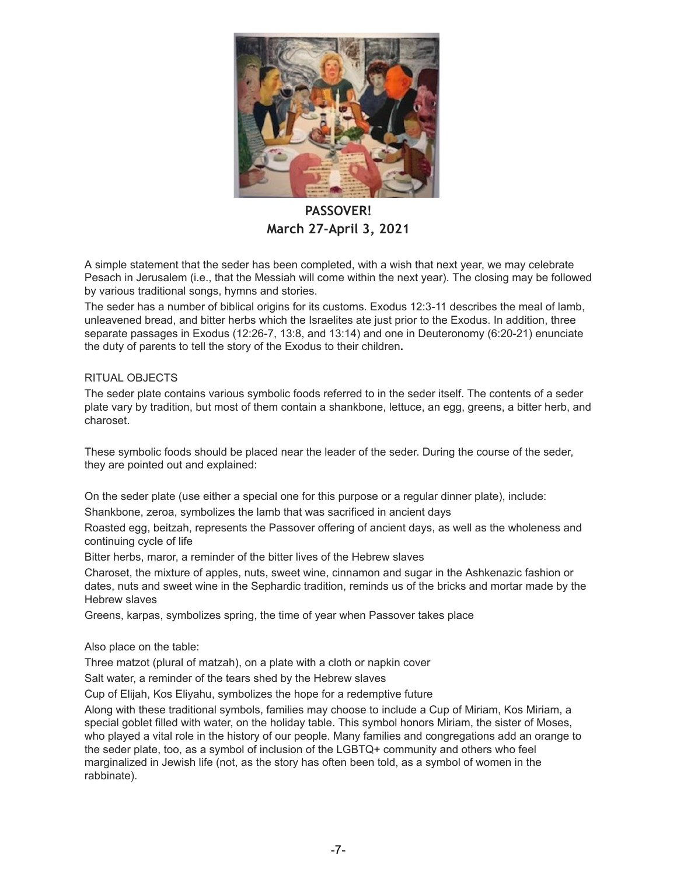

**PASSOVER! March 27-April 3, 2021** 

A simple statement that the seder has been completed, with a wish that next year, we may celebrate Pesach in Jerusalem (i.e., that the Messiah will come within the next year). The closing may be followed by various traditional songs, hymns and stories.

The seder has a number of biblical origins for its customs. Exodus 12:3-11 describes the meal of lamb, unleavened bread, and bitter herbs which the Israelites ate just prior to the Exodus. In addition, three separate passages in Exodus (12:26-7, 13:8, and 13:14) and one in Deuteronomy (6:20-21) enunciate the duty of parents to tell the story of the Exodus to their children**.**

#### RITUAL OBJECTS

The seder plate contains various symbolic foods referred to in the seder itself. The contents of a seder plate vary by tradition, but most of them contain a shankbone, lettuce, an egg, greens, a bitter herb, and charoset.

These symbolic foods should be placed near the leader of the seder. During the course of the seder, they are pointed out and explained:

On the seder plate (use either a special one for this purpose or a regular dinner plate), include:

Shankbone, zeroa, symbolizes the lamb that was sacrificed in ancient days

Roasted egg, beitzah, represents the Passover offering of ancient days, as well as the wholeness and continuing cycle of life

Bitter herbs, maror, a reminder of the bitter lives of the Hebrew slaves

Charoset, the mixture of apples, nuts, sweet wine, cinnamon and sugar in the Ashkenazic fashion or dates, nuts and sweet wine in the Sephardic tradition, reminds us of the bricks and mortar made by the Hebrew slaves

Greens, karpas, symbolizes spring, the time of year when Passover takes place

Also place on the table:

Three matzot (plural of matzah), on a plate with a cloth or napkin cover

Salt water, a reminder of the tears shed by the Hebrew slaves

Cup of Elijah, Kos Eliyahu, symbolizes the hope for a redemptive future

Along with these traditional symbols, families may choose to include a Cup of Miriam, Kos Miriam, a special goblet filled with water, on the holiday table. This symbol honors Miriam, the sister of Moses, who played a vital role in the history of our people. Many families and congregations add an orange to the seder plate, too, as a symbol of inclusion of the LGBTQ+ community and others who feel marginalized in Jewish life (not, as the story has often been told, as a symbol of women in the rabbinate).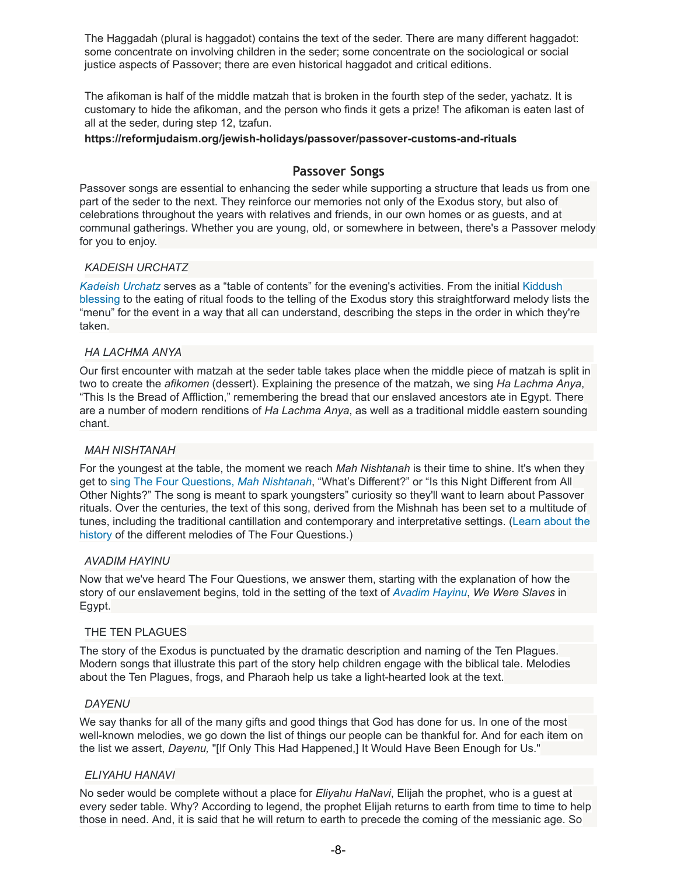The Haggadah (plural is haggadot) contains the text of the seder. There are many different haggadot: some concentrate on involving children in the seder; some concentrate on the sociological or social justice aspects of Passover; there are even historical haggadot and critical editions.

The afikoman is half of the middle matzah that is broken in the fourth step of the seder, yachatz. It is customary to hide the afikoman, and the person who finds it gets a prize! The afikoman is eaten last of all at the seder, during step 12, tzafun.

#### **https://reformjudaism.org/jewish-holidays/passover/passover-customs-and-rituals**

### **Passover Songs**

Passover songs are essential to enhancing the seder while supporting a structure that leads us from one part of the seder to the next. They reinforce our memories not only of the Exodus story, but also of celebrations throughout the years with relatives and friends, in our own homes or as guests, and at communal gatherings. Whether you are young, old, or somewhere in between, there's a Passover melody for you to enjoy.

#### *KADEISH URCHATZ*

*[Kadeish](https://www.youtube.com/watch?v=FHrRJVjQCMw) Urchatz* serves as a "table of contents" for the evening's activities. From the initial [Kiddush](https://reformjudaism.org/passover-blessings-home-observance) [blessing](https://reformjudaism.org/passover-blessings-home-observance) to the eating of ritual foods to the telling of the Exodus story this straightforward melody lists the "menu" for the event in a way that all can understand, describing the steps in the order in which they're taken.

#### *HA LACHMA ANYA*

Our first encounter with matzah at the seder table takes place when the middle piece of matzah is split in two to create the *afikomen* (dessert). Explaining the presence of the matzah, we sing *Ha Lachma Anya*, "This Is the Bread of Affliction," remembering the bread that our enslaved ancestors ate in Egypt. There are a number of modern renditions of *Ha Lachma Anya*, as well as a traditional middle eastern sounding chant.

#### *MAH NISHTANAH*

For the youngest at the table, the moment we reach *Mah Nishtanah* is their time to shine. It's when they get to sing The Four [Questions,](http://www.reformjudaism.org/jewish-holidays/passover/four-questions) *Mah [Nishtanah](http://www.reformjudaism.org/jewish-holidays/passover/four-questions)*, "What's Different?" or "Is this Night Different from All Other Nights?" The song is meant to spark youngsters" curiosity so they'll want to learn about Passover rituals. Over the centuries, the text of this song, derived from the Mishnah has been set to a multitude of tunes, including the traditional cantillation and contemporary and interpretative settings. ([Learn](http://www.reformjudaism.org/jewish-holidays/passover/melodies-four-questions-mah-nishtanah-tunes-passover) about the [history](http://www.reformjudaism.org/jewish-holidays/passover/melodies-four-questions-mah-nishtanah-tunes-passover) of the different melodies of The Four Questions.)

#### *AVADIM HAYINU*

Now that we've heard The Four Questions, we answer them, starting with the explanation of how the story of our enslavement begins, told in the setting of the text of *[Avadim](https://www.youtube.com/watch?v=09jmwmHJZgI) Hayinu*, *We Were Slaves* in Egypt.

#### THE TEN PLAGUES

The story of the Exodus is punctuated by the dramatic description and naming of the Ten Plagues. Modern songs that illustrate this part of the story help children engage with the biblical tale. Melodies about the Ten Plagues, frogs, and Pharaoh help us take a light-hearted look at the text.

#### *DAYENU*

We say thanks for all of the many gifts and good things that God has done for us. In one of the most well-known melodies, we go down the list of things our people can be thankful for. And for each item on the list we assert, *Dayenu,* "[If Only This Had Happened,] It Would Have Been Enough for Us."

#### *ELIYAHU HANAVI*

No seder would be complete without a place for *Eliyahu HaNavi*, Elijah the prophet, who is a guest at every seder table. Why? According to legend, the prophet Elijah returns to earth from time to time to help those in need. And, it is said that he will return to earth to precede the coming of the messianic age. So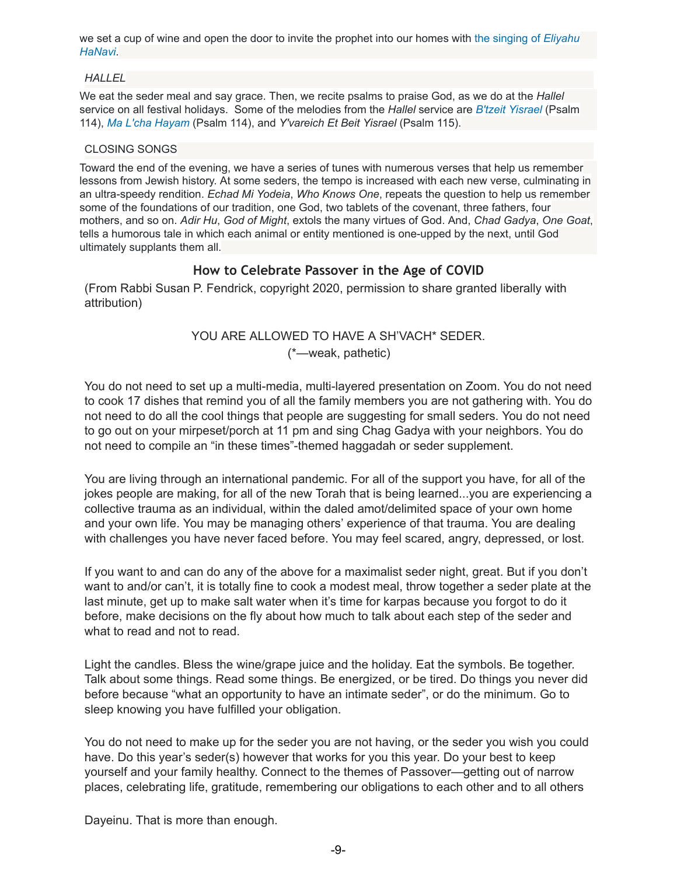we set a cup of wine and open the door to invite the prophet into our homes with the [singing](http://www.reformjudaism.org/sites/default/files/Eliyahu_guitar%20and%20voice%202%20mix.mp3) of *[Eliyahu](http://www.reformjudaism.org/sites/default/files/Eliyahu_guitar%20and%20voice%202%20mix.mp3) [HaNavi](http://www.reformjudaism.org/sites/default/files/Eliyahu_guitar%20and%20voice%202%20mix.mp3)*.

#### *HALLEL*

We eat the seder meal and say grace. Then, we recite psalms to praise God, as we do at the *Hallel* service on all festival holidays. Some of the melodies from the *Hallel* service are *B'tzeit [Yisrael](http://www.reformjudaism.org/sites/default/files/Btzeit%20Yisrael_Psalm%20114_.mp3)* (Psalm 114), *Ma L'cha [Hayam](http://www.reformjudaism.org/sites/default/files/Mah%20Lcha%20HaYam_Psalm%20114.mp3)* (Psalm 114), and *Y'vareich Et Beit Yisrael* (Psalm 115).

#### CLOSING SONGS

Toward the end of the evening, we have a series of tunes with numerous verses that help us remember lessons from Jewish history. At some seders, the tempo is increased with each new verse, culminating in an ultra-speedy rendition. *Echad Mi Yodeia*, *Who Knows One*, repeats the question to help us remember some of the foundations of our tradition, one God, two tablets of the covenant, three fathers, four mothers, and so on. *Adir Hu*, *God of Might*, extols the many virtues of God. And, *Chad Gadya*, *One Goat*, tells a humorous tale in which each animal or entity mentioned is one-upped by the next, until God ultimately supplants them all.

# **How to Celebrate Passover in the Age of COVID**

(From Rabbi Susan P. Fendrick, copyright 2020, permission to share granted liberally with attribution)

# YOU ARE ALLOWED TO HAVE A SH'VACH\* SEDER. (\*—weak, pathetic)

You do not need to set up a multi-media, multi-layered presentation on Zoom. You do not need to cook 17 dishes that remind you of all the family members you are not gathering with. You do not need to do all the cool things that people are suggesting for small seders. You do not need to go out on your mirpeset/porch at 11 pm and sing Chag Gadya with your neighbors. You do not need to compile an "in these times"-themed haggadah or seder supplement.

You are living through an international pandemic. For all of the support you have, for all of the jokes people are making, for all of the new Torah that is being learned...you are experiencing a collective trauma as an individual, within the daled amot/delimited space of your own home and your own life. You may be managing others' experience of that trauma. You are dealing with challenges you have never faced before. You may feel scared, angry, depressed, or lost.

If you want to and can do any of the above for a maximalist seder night, great. But if you don't want to and/or can't, it is totally fine to cook a modest meal, throw together a seder plate at the last minute, get up to make salt water when it's time for karpas because you forgot to do it before, make decisions on the fly about how much to talk about each step of the seder and what to read and not to read.

Light the candles. Bless the wine/grape juice and the holiday. Eat the symbols. Be together. Talk about some things. Read some things. Be energized, or be tired. Do things you never did before because "what an opportunity to have an intimate seder", or do the minimum. Go to sleep knowing you have fulfilled your obligation.

You do not need to make up for the seder you are not having, or the seder you wish you could have. Do this year's seder(s) however that works for you this year. Do your best to keep yourself and your family healthy. Connect to the themes of Passover—getting out of narrow places, celebrating life, gratitude, remembering our obligations to each other and to all others

Dayeinu. That is more than enough.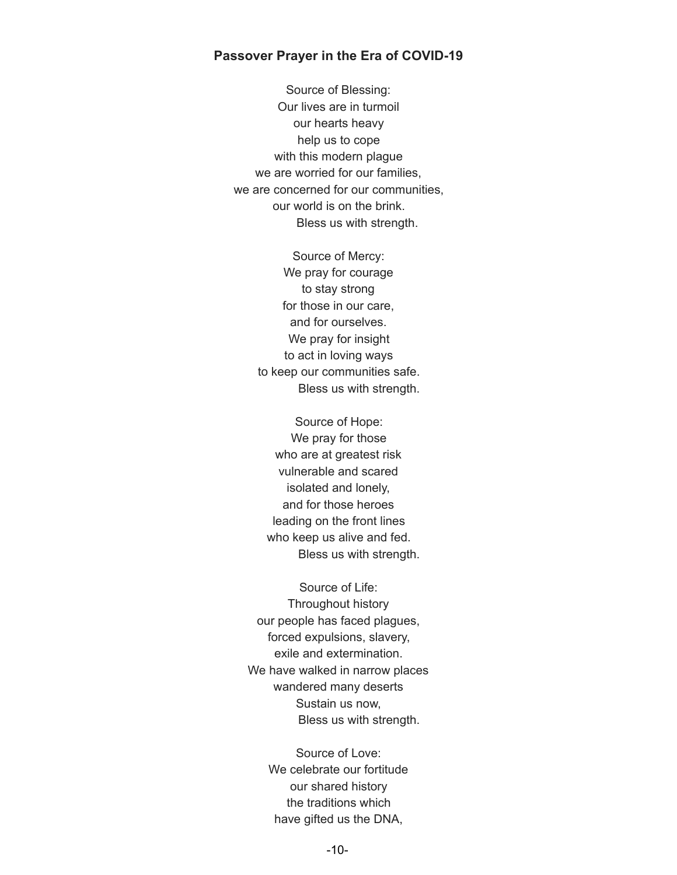#### **Passover Prayer in the Era of COVID-19**

Source of Blessing: Our lives are in turmoil our hearts heavy help us to cope with this modern plague we are worried for our families, we are concerned for our communities, our world is on the brink. Bless us with strength.

> Source of Mercy: We pray for courage to stay strong for those in our care, and for ourselves. We pray for insight to act in loving ways to keep our communities safe. Bless us with strength.

Source of Hope: We pray for those who are at greatest risk vulnerable and scared isolated and lonely, and for those heroes leading on the front lines who keep us alive and fed. Bless us with strength.

Source of Life: Throughout history our people has faced plagues, forced expulsions, slavery, exile and extermination. We have walked in narrow places wandered many deserts Sustain us now, Bless us with strength.

> Source of Love: We celebrate our fortitude our shared history the traditions which have gifted us the DNA,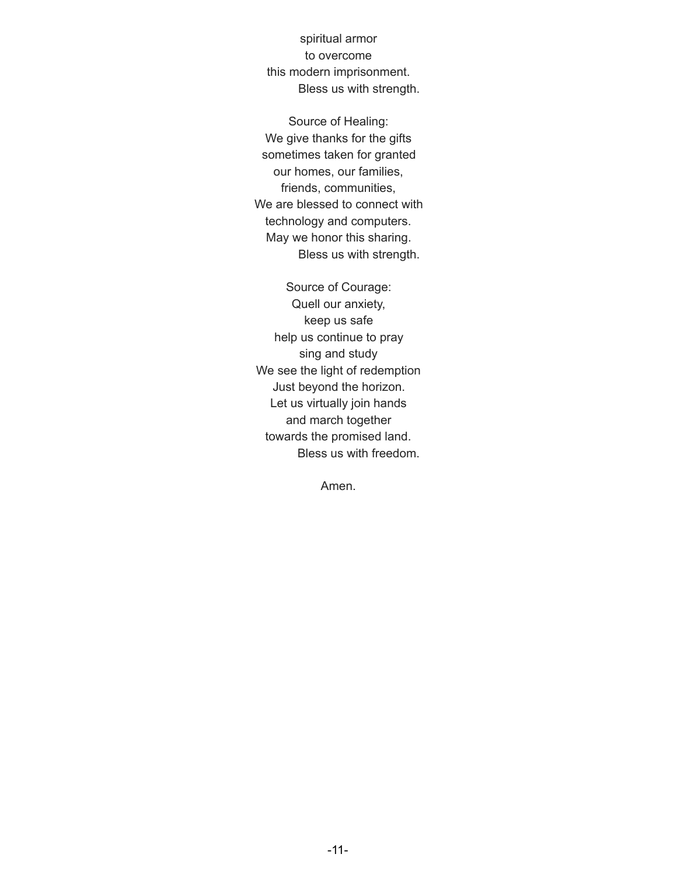spiritual armor to overcome this modern imprisonment. Bless us with strength.

Source of Healing: We give thanks for the gifts sometimes taken for granted our homes, our families, friends, communities, We are blessed to connect with technology and computers. May we honor this sharing. Bless us with strength.

Source of Courage: Quell our anxiety, keep us safe help us continue to pray sing and study We see the light of redemption Just beyond the horizon. Let us virtually join hands and march together towards the promised land. Bless us with freedom.

Amen.